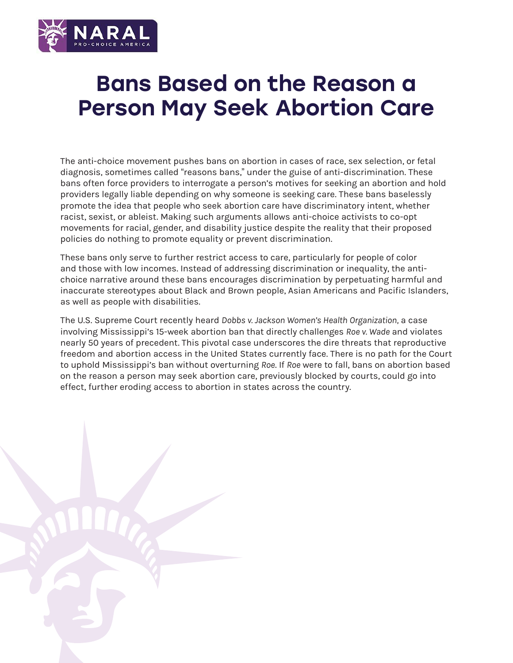

## Bans Based on the Reason a Person May Seek Abortion Care

The anti-choice movement pushes bans on abortion in cases of race, sex selection, or fetal diagnosis, sometimes called "reasons bans," under the guise of anti-discrimination. These bans often force providers to interrogate a person's motives for seeking an abortion and hold providers legally liable depending on why someone is seeking care. These bans baselessly promote the idea that people who seek abortion care have discriminatory intent, whether racist, sexist, or ableist. Making such arguments allows anti-choice activists to co-opt movements for racial, gender, and disability justice despite the reality that their proposed policies do nothing to promote equality or prevent discrimination.

These bans only serve to further restrict access to care, particularly for people of color and those with low incomes. Instead of addressing discrimination or inequality, the antichoice narrative around these bans encourages discrimination by perpetuating harmful and inaccurate stereotypes about Black and Brown people, Asian Americans and Pacific Islanders, as well as people with disabilities.

The U.S. Supreme Court recently heard *Dobbs v. Jackson Women's Health Organization,* a case involving Mississippi's 15-week abortion ban that directly challenges *Roe v. Wade* and violates nearly 50 years of precedent. This pivotal case underscores the dire threats that reproductive freedom and abortion access in the United States currently face. There is no path for the Court to uphold Mississippi's ban without overturning *Roe*. If *Roe* were to fall, bans on abortion based on the reason a person may seek abortion care, previously blocked by courts, could go into effect, further eroding access to abortion in states across the country.

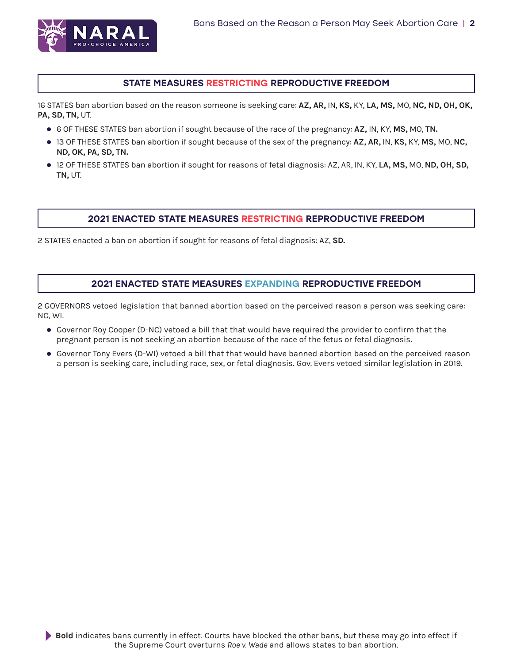

## STATE MEASURES RESTRICTING REPRODUCTIVE FREEDOM

16 STATES ban abortion based on the reason someone is seeking care: **AZ, AR,** IN, **KS,** KY, **LA, MS,** MO, **NC, ND, OH, OK, PA, SD, TN,** UT.

- z 6 OF THESE STATES ban abortion if sought because of the race of the pregnancy: **AZ,** IN, KY, **MS,** MO, **TN.**
- z 13 OF THESE STATES ban abortion if sought because of the sex of the pregnancy: **AZ, AR,** IN, **KS,** KY, **MS,** MO, **NC, ND, OK, PA, SD, TN.**
- z 12 OF THESE STATES ban abortion if sought for reasons of fetal diagnosis: AZ, AR, IN, KY, **LA, MS,** MO, **ND, OH, SD, TN,** UT.

## 2021 ENACTED STATE MEASURES RESTRICTING REPRODUCTIVE FREEDOM

2 STATES enacted a ban on abortion if sought for reasons of fetal diagnosis: AZ, **SD.**

## 2021 ENACTED STATE MEASURES EXPANDING REPRODUCTIVE FREEDOM

2 GOVERNORS vetoed legislation that banned abortion based on the perceived reason a person was seeking care: NC, WI.

- Governor Roy Cooper (D-NC) vetoed a bill that that would have required the provider to confirm that the pregnant person is not seeking an abortion because of the race of the fetus or fetal diagnosis.
- Governor Tony Evers (D-WI) vetoed a bill that that would have banned abortion based on the perceived reason a person is seeking care, including race, sex, or fetal diagnosis. Gov. Evers vetoed similar legislation in 2019.